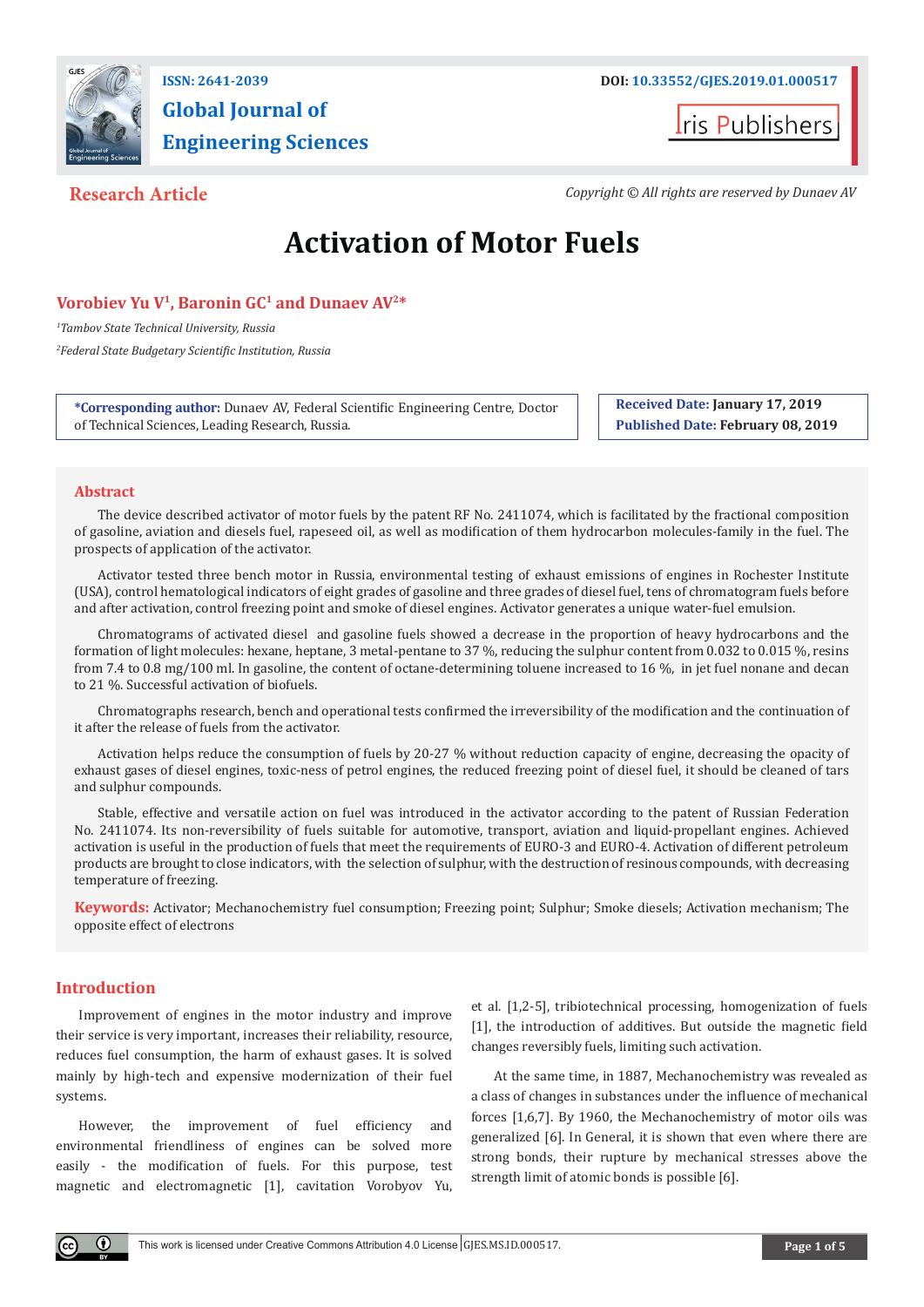

# **Global Journal of Engineering Sciences**

**I**ris Publishers

**Research Article** *Copyright © All rights are reserved by Dunaev AV*

# **Activation of Motor Fuels**

# Vorobiev Yu V<sup>1</sup>, Baronin GC<sup>1</sup> and Dunaev AV<sup>2\*</sup>

*1 Tambov State Technical University, Russia 2 Federal State Budgetary Scientific Institution, Russia*

**\*Corresponding author:** Dunaev AV, Federal Scientific Engineering Centre, Doctor of Technical Sciences, Leading Research, Russia.

**Received Date: January 17, 2019 Published Date: February 08, 2019**

# **Abstract**

The device described activator of motor fuels by the patent RF No. 2411074, which is facilitated by the fractional composition of gasoline, aviation and diesels fuel, rapeseed oil, as well as modification of them hydrocarbon molecules-family in the fuel. The prospects of application of the activator.

Activator tested three bench motor in Russia, environmental testing of exhaust emissions of engines in Rochester Institute (USA), control hematological indicators of eight grades of gasoline and three grades of diesel fuel, tens of chromatogram fuels before and after activation, control freezing point and smoke of diesel engines. Activator generates a unique water-fuel emulsion.

Chromatograms of activated diesel and gasoline fuels showed a decrease in the proportion of heavy hydrocarbons and the formation of light molecules: hexane, heptane, 3 metal-pentane to 37 %, reducing the sulphur content from 0.032 to 0.015 %, resins from 7.4 to 0.8 mg/100 ml. In gasoline, the content of octane-determining toluene increased to 16 %, in jet fuel nonane and decan to 21 %. Successful activation of biofuels.

Chromatographs research, bench and operational tests confirmed the irreversibility of the modification and the continuation of it after the release of fuels from the activator.

Activation helps reduce the consumption of fuels by 20-27 % without reduction capacity of engine, decreasing the opacity of exhaust gases of diesel engines, toxic-ness of petrol engines, the reduced freezing point of diesel fuel, it should be cleaned of tars and sulphur compounds.

Stable, effective and versatile action on fuel was introduced in the activator according to the patent of Russian Federation No. 2411074. Its non-reversibility of fuels suitable for automotive, transport, aviation and liquid-propellant engines. Achieved activation is useful in the production of fuels that meet the requirements of EURO-3 and EURO-4. Activation of different petroleum products are brought to close indicators, with the selection of sulphur, with the destruction of resinous compounds, with decreasing temperature of freezing.

**Keywords:** Activator; Mechanochemistry fuel consumption; Freezing point; Sulphur; Smoke diesels; Activation mechanism; The opposite effect of electrons

# **Introduction**

Improvement of engines in the motor industry and improve their service is very important, increases their reliability, resource, reduces fuel consumption, the harm of exhaust gases. It is solved mainly by high-tech and expensive modernization of their fuel systems.

However, the improvement of fuel efficiency and environmental friendliness of engines can be solved more easily - the modification of fuels. For this purpose, test magnetic and electromagnetic [1], cavitation Vorobyov Yu,

et al. [1,2-5], tribiotechnical processing, homogenization of fuels [1], the introduction of additives. But outside the magnetic field changes reversibly fuels, limiting such activation.

At the same time, in 1887, Mechanochemistry was revealed as a class of changes in substances under the influence of mechanical forces [1,6,7]. By 1960, the Mechanochemistry of motor oils was generalized [6]. In General, it is shown that even where there are strong bonds, their rupture by mechanical stresses above the strength limit of atomic bonds is possible [6].

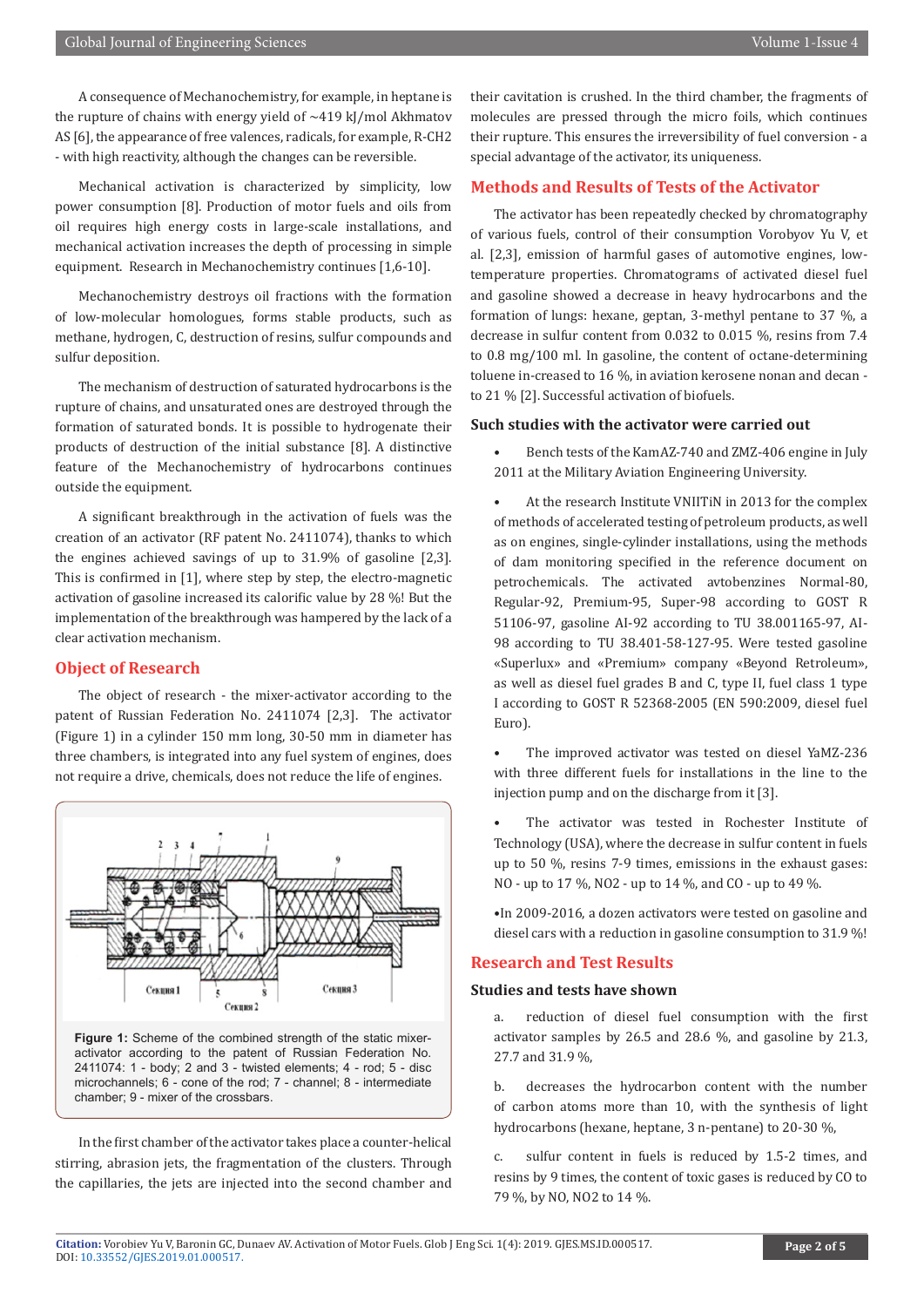A consequence of Mechanochemistry, for example, in heptane is the rupture of chains with energy yield of  $\sim$ 419 kJ/mol Akhmatov AS [6], the appearance of free valences, radicals, for example, R-CH2 - with high reactivity, although the changes can be reversible.

Mechanical activation is characterized by simplicity, low power consumption [8]. Production of motor fuels and oils from oil requires high energy costs in large-scale installations, and mechanical activation increases the depth of processing in simple equipment. Research in Mechanochemistry continues [1,6-10].

Mechanochemistry destroys oil fractions with the formation of low-molecular homologues, forms stable products, such as methane, hydrogen, C, destruction of resins, sulfur compounds and sulfur deposition.

The mechanism of destruction of saturated hydrocarbons is the rupture of chains, and unsaturated ones are destroyed through the formation of saturated bonds. It is possible to hydrogenate their products of destruction of the initial substance [8]. A distinctive feature of the Mechanochemistry of hydrocarbons continues outside the equipment.

A significant breakthrough in the activation of fuels was the creation of an activator (RF patent No. 2411074), thanks to which the engines achieved savings of up to 31.9% of gasoline [2,3]. This is confirmed in [1], where step by step, the electro-magnetic activation of gasoline increased its calorific value by 28 %! But the implementation of the breakthrough was hampered by the lack of a clear activation mechanism.

# **Object of Research**

The object of research - the mixer-activator according to the patent of Russian Federation No. 2411074 [2,3]. The activator (Figure 1) in a cylinder 150 mm long, 30-50 mm in diameter has three chambers, is integrated into any fuel system of engines, does not require a drive, chemicals, does not reduce the life of engines.



2411074: 1 - body; 2 and 3 - twisted elements; 4 - rod; 5 - disc microchannels; 6 - cone of the rod; 7 - channel; 8 - intermediate chamber; 9 - mixer of the crossbars.

In the first chamber of the activator takes place a counter-helical stirring, abrasion jets, the fragmentation of the clusters. Through the capillaries, the jets are injected into the second chamber and

their cavitation is crushed. In the third chamber, the fragments of molecules are pressed through the micro foils, which continues their rupture. This ensures the irreversibility of fuel conversion - a special advantage of the activator, its uniqueness.

# **Methods and Results of Tests of the Activator**

The activator has been repeatedly checked by chromatography of various fuels, control of their consumption Vorobyov Yu V, et al. [2,3], emission of harmful gases of automotive engines, lowtemperature properties. Chromatograms of activated diesel fuel and gasoline showed a decrease in heavy hydrocarbons and the formation of lungs: hexane, geptan, 3-methyl pentane to 37 %, a decrease in sulfur content from 0.032 to 0.015 %, resins from 7.4 to 0.8 mg/100 ml. In gasoline, the content of octane-determining toluene in-creased to 16 %, in aviation kerosene nonan and decan to 21 % [2]. Successful activation of biofuels.

#### **Such studies with the activator were carried out**

• Bench tests of the KamAZ-740 and ZMZ-406 engine in July 2011 at the Military Aviation Engineering University.

• At the research Institute VNIITiN in 2013 for the complex of methods of accelerated testing of petroleum products, as well as on engines, single-cylinder installations, using the methods of dam monitoring specified in the reference document on petrochemicals. The activated avtobenzines Normal-80, Regular-92, Premium-95, Super-98 according to GOST R 51106-97, gasoline AI-92 according to TU 38.001165-97, AI-98 according to TU 38.401-58-127-95. Were tested gasoline «Superlux» and «Premium» company «Beyond Retroleum», as well as diesel fuel grades B and C, type II, fuel class 1 type I according to GOST R 52368-2005 (EN 590:2009, diesel fuel Euro).

• The improved activator was tested on diesel YaMZ-236 with three different fuels for installations in the line to the injection pump and on the discharge from it [3].

The activator was tested in Rochester Institute of Technology (USA), where the decrease in sulfur content in fuels up to 50 %, resins 7-9 times, emissions in the exhaust gases: NO - up to 17 %, NO2 - up to 14 %, and CO - up to 49 %.

•In 2009-2016, a dozen activators were tested on gasoline and diesel cars with a reduction in gasoline consumption to 31.9 %!

# **Research and Test Results**

#### **Studies and tests have shown**

a. reduction of diesel fuel consumption with the first activator samples by 26.5 and 28.6 %, and gasoline by 21.3, 27.7 and 31.9 %,

b. decreases the hydrocarbon content with the number of carbon atoms more than 10, with the synthesis of light hydrocarbons (hexane, heptane, 3 n-pentane) to 20-30 %,

c. sulfur content in fuels is reduced by 1.5-2 times, and resins by 9 times, the content of toxic gases is reduced by CO to 79 %, by NO, NO2 to 14 %.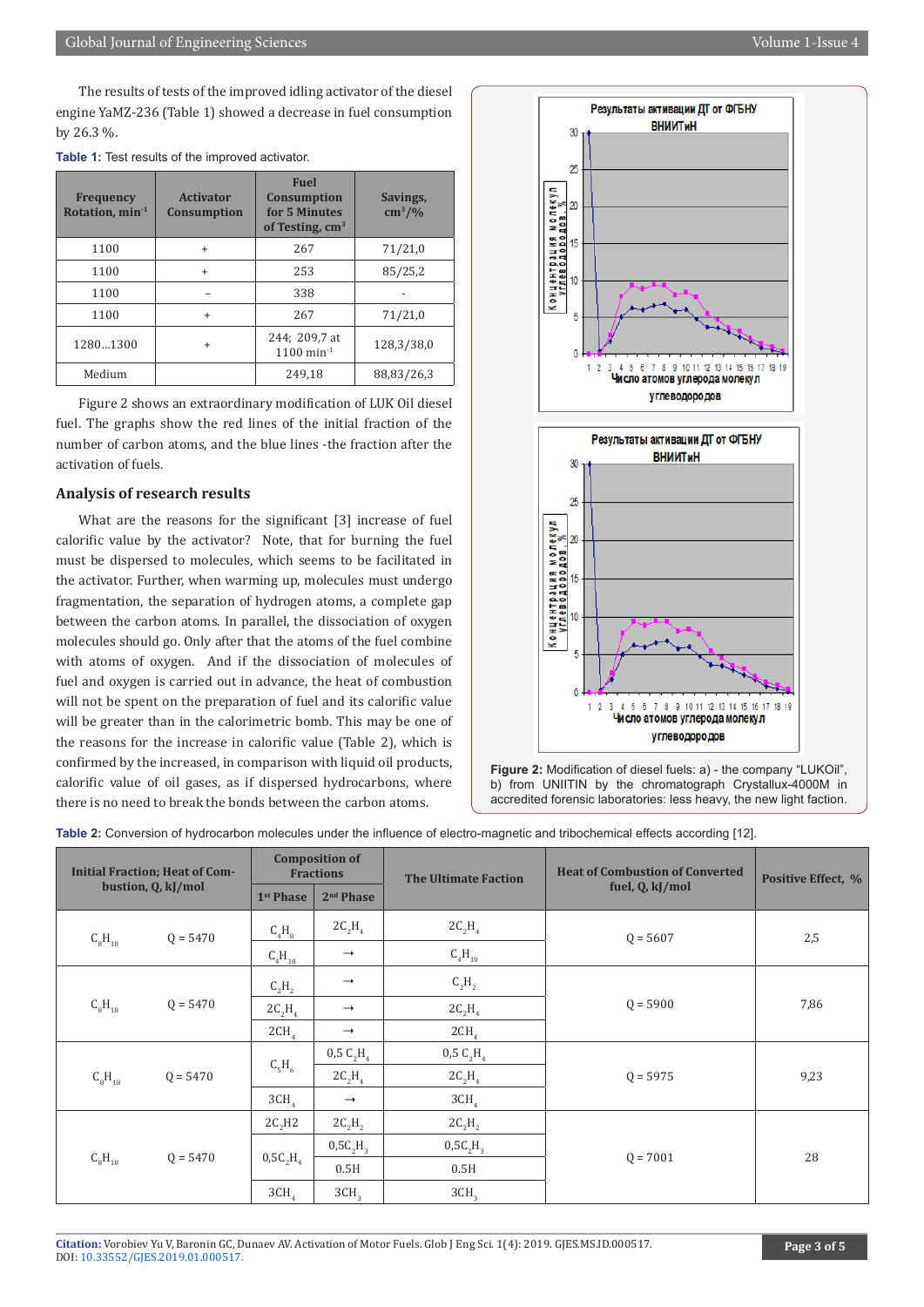The results of tests of the improved idling activator of the diesel engine YaMZ-236 (Table 1) showed a decrease in fuel consumption by 26.3 %.

| <b>Frequency</b><br>Rotation, $min^{-1}$ | <b>Activator</b><br><b>Consumption</b> | <b>Fuel</b><br><b>Consumption</b><br>for 5 Minutes<br>of Testing, $cm3$ | Savings,<br>$\text{cm}^3/\text{\%}$ |
|------------------------------------------|----------------------------------------|-------------------------------------------------------------------------|-------------------------------------|
| 1100                                     | $\ddot{}$                              | 267                                                                     | 71/21,0                             |
| 1100                                     | $\ddot{}$                              | 253                                                                     | 85/25,2                             |
| 1100                                     |                                        | 338                                                                     |                                     |
| 1100                                     | $\ddot{}$                              | 267                                                                     | 71/21,0                             |
| 12801300<br>$\ddot{}$                    |                                        | 244; 209,7 at<br>$1100$ min <sup>-1</sup>                               | 128,3/38,0                          |
| Medium                                   |                                        | 249.18                                                                  | 88,83/26,3                          |

|  | <b>Table 1:</b> Test results of the improved activator. |  |  |
|--|---------------------------------------------------------|--|--|
|--|---------------------------------------------------------|--|--|

Figure 2 shows an extraordinary modification of LUK Oil diesel fuel. The graphs show the red lines of the initial fraction of the number of carbon atoms, and the blue lines -the fraction after the activation of fuels.

# **Analysis of research results**

What are the reasons for the significant [3] increase of fuel calorific value by the activator? Note, that for burning the fuel must be dispersed to molecules, which seems to be facilitated in the activator. Further, when warming up, molecules must undergo fragmentation, the separation of hydrogen atoms, a complete gap between the carbon atoms. In parallel, the dissociation of oxygen molecules should go. Only after that the atoms of the fuel combine with atoms of oxygen. And if the dissociation of molecules of fuel and oxygen is carried out in advance, the heat of combustion will not be spent on the preparation of fuel and its calorific value will be greater than in the calorimetric bomb. This may be one of the reasons for the increase in calorific value (Table 2), which is confirmed by the increased, in comparison with liquid oil products, calorific value of oil gases, as if dispersed hydrocarbons, where there is no need to break the bonds between the carbon atoms.



**Figure 2:** Modification of diesel fuels: a) - the company "LUKOil", b) from UNIITIN by the chromatograph Crystallux-4000M in accredited forensic laboratories: less heavy, the new light faction.

**Table 2:** Conversion of hydrocarbon molecules under the influence of electro-magnetic and tribochemical effects according [12].

| <b>Initial Fraction; Heat of Com-</b><br>bustion, Q, kJ/mol |                           | <b>Composition of</b><br><b>Fractions</b> |                                   | <b>The Ultimate Faction</b> | <b>Heat of Combustion of Converted</b> | Positive Effect, % |
|-------------------------------------------------------------|---------------------------|-------------------------------------------|-----------------------------------|-----------------------------|----------------------------------------|--------------------|
|                                                             |                           | 1 <sup>st</sup> Phase                     | 2 <sup>nd</sup> Phase             |                             | fuel, Q, kJ/mol                        |                    |
| $Q = 5470$<br>$C_8H_{18}$                                   | $C_4H_8$                  | $2C_2H_4$                                 | $2C_2H_4$                         | $Q = 5607$                  | 2,5                                    |                    |
|                                                             | $\text{C}_4\text{H}_{10}$ | $\rightarrow$                             | $C_4H_{10}$                       |                             |                                        |                    |
| $Q = 5470$<br>$C_8H_{18}$                                   | $C_2H_2$                  | $\rightarrow$                             | $C_2H_2$                          | $Q = 5900$                  | 7,86                                   |                    |
|                                                             | $2C_2H_4$                 | $\rightarrow$                             | $2C_2H_4$                         |                             |                                        |                    |
|                                                             | 2CH <sub>4</sub>          | $\rightarrow$                             | 2CH <sub>4</sub>                  |                             |                                        |                    |
| $Q = 5470$<br>$C_8H_{18}$                                   | $C_5H_6$                  | 0,5 C <sub>2</sub> H <sub>4</sub>         | 0.5 C <sub>2</sub> H <sub>4</sub> | $Q = 5975$                  | 9,23                                   |                    |
|                                                             |                           | $2C_2H_4$                                 | $2C_2H_4$                         |                             |                                        |                    |
|                                                             | 3CH <sub>4</sub>          | $\rightarrow$                             | 3CH <sub>4</sub>                  |                             |                                        |                    |
| $C_8H_{18}$<br>$Q = 5470$                                   | $2C_2H2$                  | $2C_2H_2$                                 | $2C_2H_2$                         | $Q = 7001$                  |                                        |                    |
|                                                             | $0.5C_2H_4$               | $0,5C, H$ <sub>3</sub>                    | 0,5C, H                           |                             | 28                                     |                    |
|                                                             |                           | 0.5H                                      | 0.5H                              |                             |                                        |                    |
|                                                             | 3CH <sub>A</sub>          | 3CH <sub>3</sub>                          | 3CH <sub>3</sub>                  |                             |                                        |                    |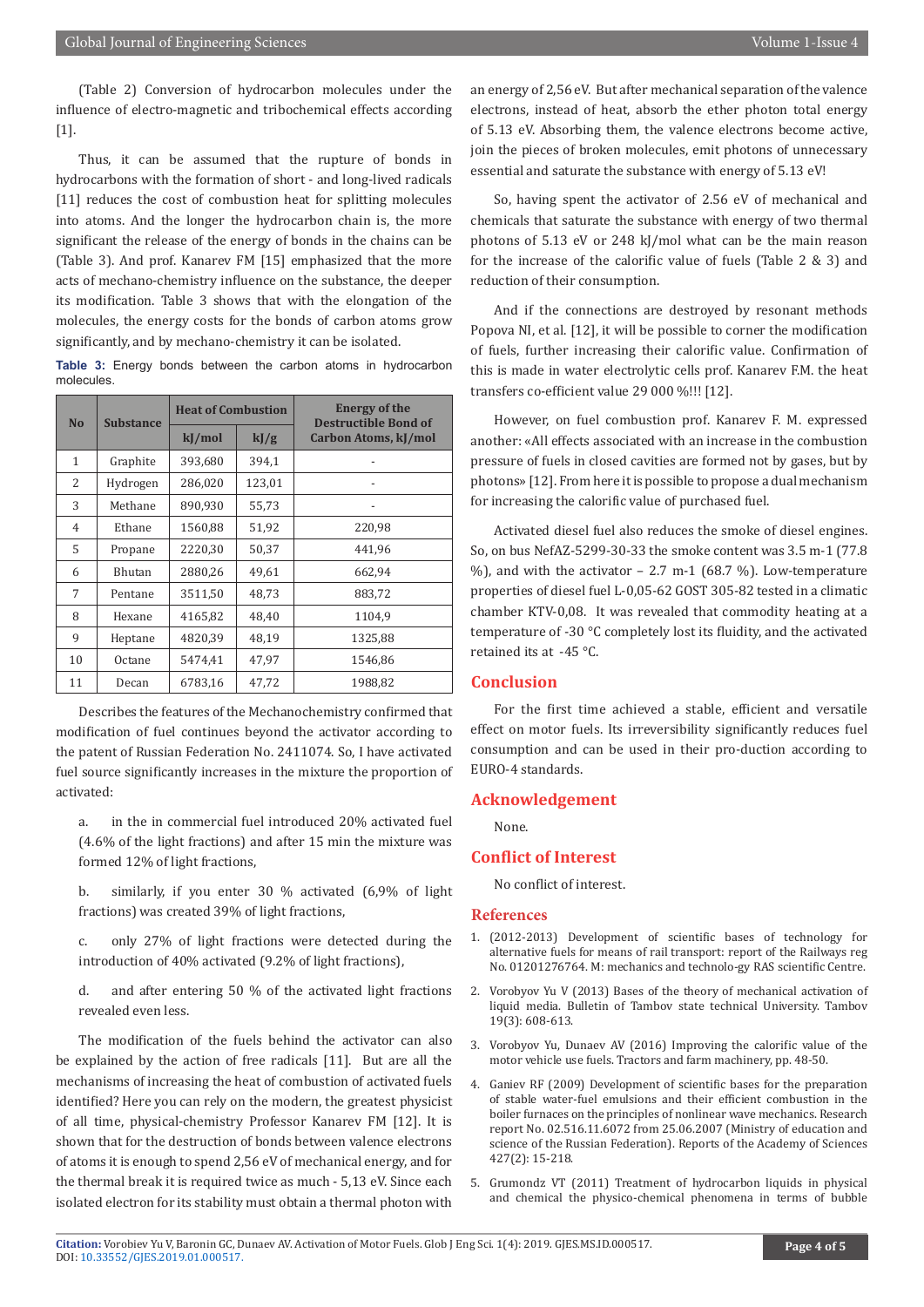(Table 2) Conversion of hydrocarbon molecules under the influence of electro-magnetic and tribochemical effects according [1].

Thus, it can be assumed that the rupture of bonds in hydrocarbons with the formation of short - and long-lived radicals [11] reduces the cost of combustion heat for splitting molecules into atoms. And the longer the hydrocarbon chain is, the more significant the release of the energy of bonds in the chains can be (Table 3). And prof. Kanarev FM [15] emphasized that the more acts of mechano-chemistry influence on the substance, the deeper its modification. Table 3 shows that with the elongation of the molecules, the energy costs for the bonds of carbon atoms grow significantly, and by mechano-chemistry it can be isolated.

**Table 3:** Energy bonds between the carbon atoms in hydrocarbon molecules.

| <b>No</b>      | <b>Substance</b> | <b>Heat of Combustion</b> |        | <b>Energy of the</b><br><b>Destructible Bond of</b> |  |
|----------------|------------------|---------------------------|--------|-----------------------------------------------------|--|
|                |                  | kJ/mol                    | kJ/g   | Carbon Atoms, kJ/mol                                |  |
| $\mathbf{1}$   | Graphite         | 393,680                   | 394,1  |                                                     |  |
| 2              | Hydrogen         | 286,020                   | 123,01 | $\overline{\phantom{a}}$                            |  |
| 3              | Methane          | 890,930                   | 55,73  |                                                     |  |
| $\overline{4}$ | Ethane           | 1560,88                   | 51,92  | 220,98                                              |  |
| 5              | Propane          | 2220,30                   | 50,37  | 441,96                                              |  |
| 6              | Bhutan           | 2880,26                   | 49,61  | 662,94                                              |  |
| 7              | Pentane          | 3511,50                   | 48.73  | 883,72                                              |  |
| 8              | Hexane           | 4165,82                   | 48,40  | 1104,9                                              |  |
| 9              | Heptane          | 4820,39                   | 48,19  | 1325,88                                             |  |
| 10             | Octane           | 5474,41                   | 47,97  | 1546,86                                             |  |
| 11             | Decan            | 6783,16                   | 47,72  | 1988,82                                             |  |

Describes the features of the Mechanochemistry confirmed that modification of fuel continues beyond the activator according to the patent of Russian Federation No. 2411074. So, I have activated fuel source significantly increases in the mixture the proportion of activated:

- a. in the in commercial fuel introduced 20% activated fuel (4.6% of the light fractions) and after 15 min the mixture was formed 12% of light fractions,
- b. similarly, if you enter 30 % activated (6,9% of light fractions) was created 39% of light fractions,
- c. only 27% of light fractions were detected during the introduction of 40% activated (9.2% of light fractions),

d. and after entering 50 % of the activated light fractions revealed even less.

The modification of the fuels behind the activator can also be explained by the action of free radicals [11]. But are all the mechanisms of increasing the heat of combustion of activated fuels identified? Here you can rely on the modern, the greatest physicist of all time, physical-chemistry Professor Kanarev FM [12]. It is shown that for the destruction of bonds between valence electrons of atoms it is enough to spend 2,56 eV of mechanical energy, and for the thermal break it is required twice as much - 5,13 eV. Since each isolated electron for its stability must obtain a thermal photon with

an energy of 2,56 eV. But after mechanical separation of the valence electrons, instead of heat, absorb the ether photon total energy of 5.13 eV. Absorbing them, the valence electrons become active, join the pieces of broken molecules, emit photons of unnecessary essential and saturate the substance with energy of 5.13 eV!

So, having spent the activator of 2.56 eV of mechanical and chemicals that saturate the substance with energy of two thermal photons of 5.13 eV or 248 kJ/mol what can be the main reason for the increase of the calorific value of fuels (Table 2 & 3) and reduction of their consumption.

And if the connections are destroyed by resonant methods Popova NI, et al. [12], it will be possible to corner the modification of fuels, further increasing their calorific value. Confirmation of this is made in water electrolytic cells prof. Kanarev F.M. the heat transfers co-efficient value 29 000 %!!! [12].

However, on fuel combustion prof. Kanarev F. M. expressed another: «All effects associated with an increase in the combustion pressure of fuels in closed cavities are formed not by gases, but by photons» [12]. From here it is possible to propose a dual mechanism for increasing the calorific value of purchased fuel.

Activated diesel fuel also reduces the smoke of diesel engines. So, on bus NefAZ-5299-30-33 the smoke content was 3.5 m-1 (77.8  $\%$ ), and with the activator – 2.7 m-1 (68.7 %). Low-temperature properties of diesel fuel L-0,05-62 GOST 305-82 tested in a climatic chamber KTV-0,08. It was revealed that commodity heating at a temperature of -30 °C completely lost its fluidity, and the activated retained its at -45 °C.

# **Conclusion**

For the first time achieved a stable, efficient and versatile effect on motor fuels. Its irreversibility significantly reduces fuel consumption and can be used in their pro-duction according to EURO-4 standards.

#### **Acknowledgement**

None.

# **Conflict of Interest**

No conflict of interest.

### **References**

- 1. (2012-2013) Development of scientific bases of technology for alternative fuels for means of rail transport: report of the Railways reg No. 01201276764. M: mechanics and technolo-gy RAS scientific Centre.
- 2. Vorobyov Yu V (2013) Bases of the theory of mechanical activation of liquid media. Bulletin of Tambov state technical University. Tambov 19(3): 608-613.
- 3. Vorobyov Yu, Dunaev AV (2016) Improving the calorific value of the motor vehicle use fuels. Tractors and farm machinery, pp. 48-50.
- 4. Ganiev RF (2009) Development of scientific bases for the preparation of stable water-fuel emulsions and their efficient combustion in the boiler furnaces on the principles of nonlinear wave mechanics. Research report No. 02.516.11.6072 from 25.06.2007 (Ministry of education and science of the Russian Federation). Reports of the Academy of Sciences 427(2): 15-218.
- 5. Grumondz VT (2011) Treatment of hydrocarbon liquids in physical and chemical the physico-chemical phenomena in terms of bubble